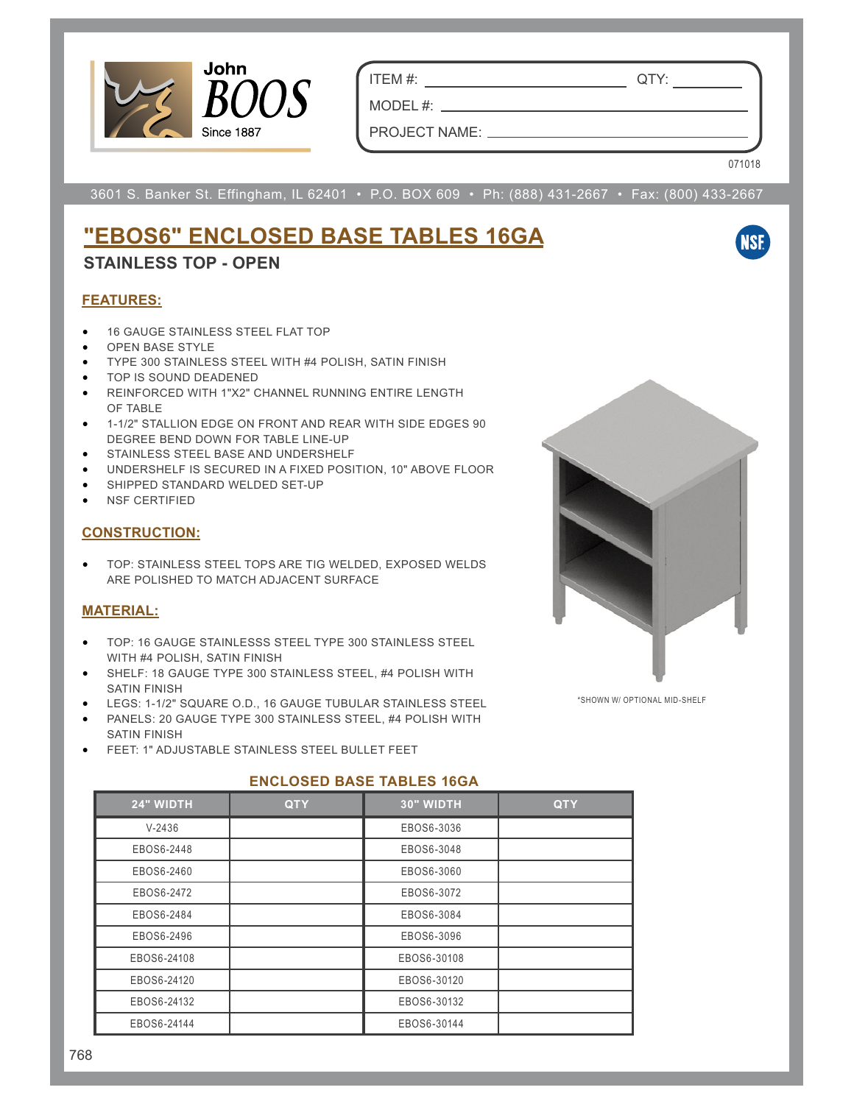

ITEM #: QTY:

MODEL #:

PROJECT NAME:

071018

**NSF** 

\*SHOWN W/ OPTIONAL MID-SHELF

3601 S. Banker St. Effingham, IL 62401 • P.O. BOX 609 • Ph: (888) 431-2667 • Fax: (800) 433-2667

# **"EBOS6" ENCLOSED BASE TABLES 16GA**

## **STAINLESS TOP - OPEN**

### **FEATURES:**

- 16 GAUGE STAINLESS STEEL FLAT TOP
- OPEN BASE STYLE
- TYPE 300 STAINLESS STEEL WITH #4 POLISH, SATIN FINISH
- TOP IS SOUND DEADENED
- REINFORCED WITH 1"X2" CHANNEL RUNNING ENTIRE LENGTH OF TABLE
- 1-1/2" STALLION EDGE ON FRONT AND REAR WITH SIDE EDGES 90 DEGREE BEND DOWN FOR TABLE LINE-UP
- STAINLESS STEEL BASE AND UNDERSHELF
- UNDERSHELF IS SECURED IN A FIXED POSITION, 10" ABOVE FLOOR
- SHIPPED STANDARD WELDED SET-UP
- NSF CERTIFIED

### **CONSTRUCTION:**

• TOP: STAINLESS STEEL TOPS ARE TIG WELDED, EXPOSED WELDS ARE POLISHED TO MATCH ADJACENT SURFACE

### **MATERIAL:**

- TOP: 16 GAUGE STAINLESSS STEEL TYPE 300 STAINLESS STEEL WITH #4 POLISH, SATIN FINISH
- SHELF: 18 GAUGE TYPE 300 STAINLESS STEEL, #4 POLISH WITH SATIN FINISH
- LEGS: 1-1/2" SQUARE O.D., 16 GAUGE TUBULAR STAINLESS STEEL
- PANELS: 20 GAUGE TYPE 300 STAINLESS STEEL, #4 POLISH WITH SATIN FINISH
- FEET: 1" ADJUSTABLE STAINLESS STEEL BULLET FEET

| <b>ENCLOSED BASE TABLES 16GA</b> |            |                  |            |  |  |  |
|----------------------------------|------------|------------------|------------|--|--|--|
| 24" WIDTH                        | <b>QTY</b> | <b>30" WIDTH</b> | <b>QTY</b> |  |  |  |
| $V - 2436$                       |            | EBOS6-3036       |            |  |  |  |
| EBOS6-2448                       |            | EBOS6-3048       |            |  |  |  |
| EBOS6-2460                       |            | EBOS6-3060       |            |  |  |  |
| EBOS6-2472                       |            | EBOS6-3072       |            |  |  |  |
| EBOS6-2484                       |            | EBOS6-3084       |            |  |  |  |
| EBOS6-2496                       |            | EBOS6-3096       |            |  |  |  |
| EBOS6-24108                      |            | EBOS6-30108      |            |  |  |  |
| EBOS6-24120                      |            | EBOS6-30120      |            |  |  |  |
| EBOS6-24132                      |            | EBOS6-30132      |            |  |  |  |
| EBOS6-24144                      |            | EBOS6-30144      |            |  |  |  |